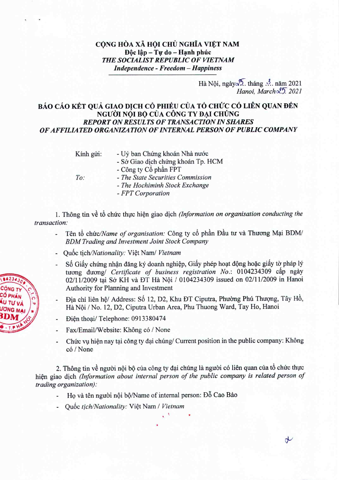## CỌNG HÒA XÃ HỌI CHỦ NGHĨA VIỆT NAM Độc lập - Tự do - Hạnh phúc *THE SOCIALIST REPUBLIC OF VIETNAM Independence - Freedom - Happiness*

## Hà Nôi, ngày $\sqrt{2}$ . tháng ... năm 2021 *Hanoi, MarcholJ 2021*

## BÁO CÁO KẾT QUẢ GIAO DỊCH CỔ PHIẾU CỦA TỔ CHỨC CÓ LIÊN QUAN ĐẾN NGƯỜI NỘI BỘ CỦA CÔNG TY ĐẠI CHÚNG *REPORT ON RESULTS OF TRANSACTION IN SHARES OF AFFILIATED ORGANIZATION OF INTERNAL PERSON OF PUBLIC COMPANY*

Kính gửi: - Uỷ ban Chứng khoán Nhà nước - Sở Giao dịch chứng khoán Tp. HCM - Công ty  $C_0$  phần FPT *- The State Securities Commission - The Hochiminh Stock Exchange - FPT Corporation To:*

1. Thong tin vB t6 chirc thuc hien giao dich *(Information on organisation conducting the transaction:*

- Tên tổ chức/Name of organisation: Công ty cổ phần Đầu tư và Thương Mại BDM/ *BDM Trading and Investment Joint Stock Company*
- Quốc tịch/Nationality: Việt Nam/ Vietnam
- Số Giấy chứng nhận đăng ký doanh nghiệp, Giấy phép hoạt động hoặc giấy tờ pháp lý turong đương/ Certificate of business registration No.: 0104234309 cấp ngày 02/11/2009 tại Sở KH và ĐT Hà Nội / 0104234309 issued on 02/11/2009 in Hanoi Authority for Planning and Investment
- Dia chi liên hệ/ Address: Số 12, D2, Khu ĐT Ciputra, Phường Phú Thượng, Tây Hồ, Hà Nôi / No. 12, D2, Ciputra Urban Area, Phu Thuong Ward, Tay Ho, Hanoi
- Dien thoai/ Telephone: 0913380474
- Fax/Email/Website: Không có / None
- Chức vụ hiện nay tại công ty đại chúng/ Current position in the public company: Không co *I* None

2. Thông tin về người nội bộ của công ty đại chúng là người có liên quan của tổ chức thực hien giao dich *(Information about internal person of the public company is related person of trading organization):*

- Ho và tên người nội bộ/Name of internal person: Đỗ Cao Bảo
- Quốc tịch/Nationality: Việt Nam / Vietnam



 $\downarrow$